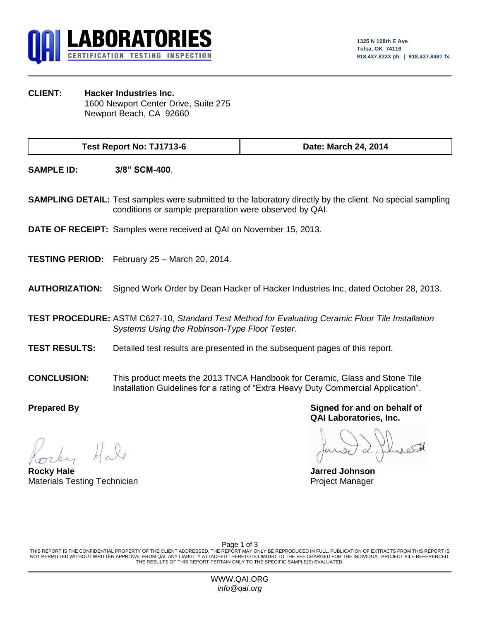

**CLIENT: Hacker Industries Inc.** 1600 Newport Center Drive, Suite 275 Newport Beach, CA 92660

**Test Report No: TJ1713-6 Date: March 24, 2014**

**SAMPLE ID: 3/8" SCM-400**.

**SAMPLING DETAIL:** Test samples were submitted to the laboratory directly by the client. No special sampling conditions or sample preparation were observed by QAI.

**DATE OF RECEIPT:** Samples were received at QAI on November 15, 2013.

**TESTING PERIOD:** February 25 – March 20, 2014.

**AUTHORIZATION:** Signed Work Order by Dean Hacker of Hacker Industries Inc, dated October 28, 2013.

**TEST PROCEDURE:** ASTM C627-10, *Standard Test Method for Evaluating Ceramic Floor Tile Installation Systems Using the Robinson-Type Floor Tester.*

- **TEST RESULTS:** Detailed test results are presented in the subsequent pages of this report.
- **CONCLUSION:** This product meets the 2013 TNCA Handbook for Ceramic, Glass and Stone Tile Installation Guidelines for a rating of "Extra Heavy Duty Commercial Application".

**Rocky Hale Jarred Johnson** Materials Testing Technician **Project Manager** Project Manager

**Prepared By Signed for and on behalf of QAI Laboratories, Inc.**

Page 1 of 3

THIS REPORT IS THE CONFIDENTIAL PROPERTY OF THE CLIENT ADDRESSED. THE REPORT MAY ONLY BE REPRODUCED IN FULL. PUBLICATION OF EXTRACTS FROM THIS REPORT IS NOT PERMITTED WITHOUT WRITTEN APPROVAL FROM QAI. ANY LIABILITY ATTACHED THERETO IS LIMITED TO THE FEE CHARGED FOR THE INDIVIDUAL PROJECT FILE REFERENCED. THE RESULTS OF THIS REPORT PERTAIN ONLY TO THE SPECIFIC SAMPLE(S) EVALUATED.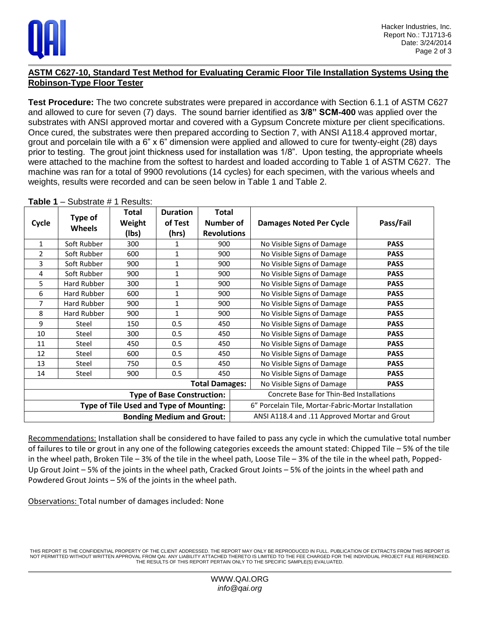

## **ASTM C627-10, Standard Test Method for Evaluating Ceramic Floor Tile Installation Systems Using the Robinson-Type Floor Tester**

**Test Procedure:** The two concrete substrates were prepared in accordance with Section 6.1.1 of ASTM C627 and allowed to cure for seven (7) days. The sound barrier identified as **3/8" SCM-400** was applied over the substrates with ANSI approved mortar and covered with a Gypsum Concrete mixture per client specifications. Once cured, the substrates were then prepared according to Section 7, with ANSI A118.4 approved mortar, grout and porcelain tile with a 6" x 6" dimension were applied and allowed to cure for twenty-eight (28) days prior to testing. The grout joint thickness used for installation was 1/8". Upon testing, the appropriate wheels were attached to the machine from the softest to hardest and loaded according to Table 1 of ASTM C627. The machine was ran for a total of 9900 revolutions (14 cycles) for each specimen, with the various wheels and weights, results were recorded and can be seen below in Table 1 and Table 2.

| Cycle                                   | Type of<br><b>Wheels</b> | Total<br>Weight<br>(Ibs) | <b>Duration</b><br>of Test<br>(hrs) | <b>Total</b><br>Number of<br><b>Revolutions</b> | <b>Damages Noted Per Cycle</b>                       | Pass/Fail   |
|-----------------------------------------|--------------------------|--------------------------|-------------------------------------|-------------------------------------------------|------------------------------------------------------|-------------|
| $\mathbf{1}$                            | Soft Rubber              | 300                      | 1                                   | 900                                             | No Visible Signs of Damage                           | <b>PASS</b> |
| $\overline{2}$                          | Soft Rubber              | 600                      | 1                                   | 900                                             | No Visible Signs of Damage                           | <b>PASS</b> |
| 3                                       | Soft Rubber              | 900                      | $\mathbf{1}$                        | 900                                             | No Visible Signs of Damage                           | <b>PASS</b> |
| 4                                       | Soft Rubber              | 900                      | $\mathbf 1$                         | 900                                             | No Visible Signs of Damage                           | <b>PASS</b> |
| 5                                       | Hard Rubber              | 300                      | $\mathbf{1}$                        | 900                                             | No Visible Signs of Damage                           | <b>PASS</b> |
| 6                                       | Hard Rubber              | 600                      | $\mathbf 1$                         | 900                                             | No Visible Signs of Damage                           | <b>PASS</b> |
| 7                                       | Hard Rubber              | 900                      | 1                                   | 900                                             | No Visible Signs of Damage                           | <b>PASS</b> |
| 8                                       | Hard Rubber              | 900                      | 1                                   | 900                                             | No Visible Signs of Damage                           | <b>PASS</b> |
| 9                                       | Steel                    | 150                      | 0.5                                 | 450                                             | No Visible Signs of Damage                           | <b>PASS</b> |
| 10                                      | <b>Steel</b>             | 300                      | 0.5                                 | 450                                             | No Visible Signs of Damage                           | <b>PASS</b> |
| 11                                      | Steel                    | 450                      | 0.5                                 | 450                                             | No Visible Signs of Damage                           | <b>PASS</b> |
| 12                                      | Steel                    | 600                      | 0.5                                 | 450                                             | No Visible Signs of Damage                           | <b>PASS</b> |
| 13                                      | Steel                    | 750                      | 0.5                                 | 450                                             | No Visible Signs of Damage                           | <b>PASS</b> |
| 14                                      | Steel                    | 900                      | 0.5                                 | 450                                             | No Visible Signs of Damage                           | <b>PASS</b> |
| <b>Total Damages:</b>                   |                          |                          |                                     |                                                 | No Visible Signs of Damage                           | <b>PASS</b> |
| <b>Type of Base Construction:</b>       |                          |                          |                                     |                                                 | Concrete Base for Thin-Bed Installations             |             |
| Type of Tile Used and Type of Mounting: |                          |                          |                                     |                                                 | 6" Porcelain Tile, Mortar-Fabric-Mortar Installation |             |
| <b>Bonding Medium and Grout:</b>        |                          |                          |                                     |                                                 | ANSI A118.4 and .11 Approved Mortar and Grout        |             |

**Table 1** – Substrate # 1 Results:

Recommendations: Installation shall be considered to have failed to pass any cycle in which the cumulative total number of failures to tile or grout in any one of the following categories exceeds the amount stated: Chipped Tile – 5% of the tile in the wheel path, Broken Tile – 3% of the tile in the wheel path, Loose Tile – 3% of the tile in the wheel path, Popped-Up Grout Joint – 5% of the joints in the wheel path, Cracked Grout Joints – 5% of the joints in the wheel path and Powdered Grout Joints – 5% of the joints in the wheel path.

Observations: Total number of damages included: None

THIS REPORT IS THE CONFIDENTIAL PROPERTY OF THE CLIENT ADDRESSED. THE REPORT MAY ONLY BE REPRODUCED IN FULL. PUBLICATION OF EXTRACTS FROM THIS REPORT IS NOT PERMITTED WITHOUT WRITTEN APPROVAL FROM QAI. ANY LIABILITY ATTACHED THERETO IS LIMITED TO THE FEE CHARGED FOR THE INDIVIDUAL PROJECT FILE REFERENCED. THE RESULTS OF THIS REPORT PERTAIN ONLY TO THE SPECIFIC SAMPLE(S) EVALUATED.